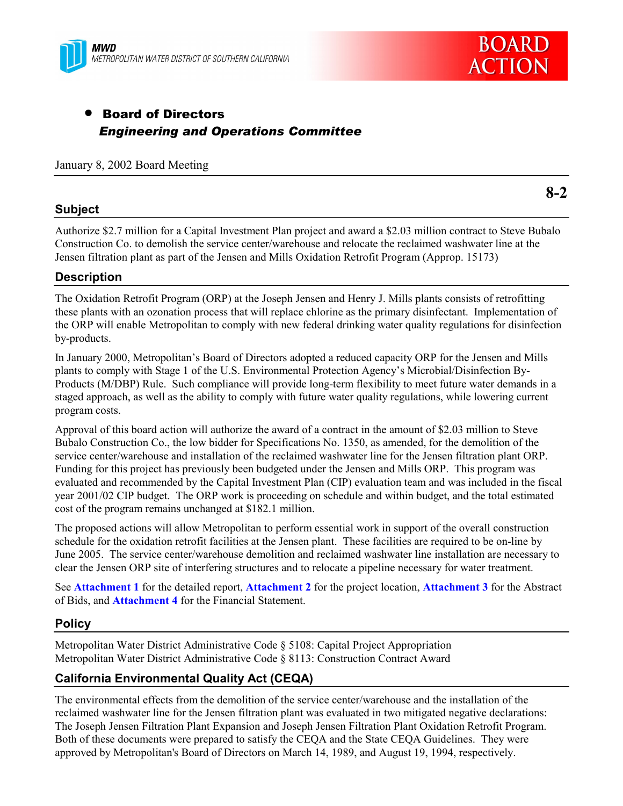



**8-2**

# • Board of Directors *Engineering and Operations Committee*

### January 8, 2002 Board Meeting

## **Subject**

Authorize \$2.7 million for a Capital Investment Plan project and award a \$2.03 million contract to Steve Bubalo Construction Co. to demolish the service center/warehouse and relocate the reclaimed washwater line at the Jensen filtration plant as part of the Jensen and Mills Oxidation Retrofit Program (Approp. 15173)

## **Description**

The Oxidation Retrofit Program (ORP) at the Joseph Jensen and Henry J. Mills plants consists of retrofitting these plants with an ozonation process that will replace chlorine as the primary disinfectant. Implementation of the ORP will enable Metropolitan to comply with new federal drinking water quality regulations for disinfection by-products.

In January 2000, Metropolitanís Board of Directors adopted a reduced capacity ORP for the Jensen and Mills plants to comply with Stage 1 of the U.S. Environmental Protection Agency's Microbial/Disinfection By-Products (M/DBP) Rule. Such compliance will provide long-term flexibility to meet future water demands in a staged approach, as well as the ability to comply with future water quality regulations, while lowering current program costs.

Approval of this board action will authorize the award of a contract in the amount of \$2.03 million to Steve Bubalo Construction Co., the low bidder for Specifications No. 1350, as amended, for the demolition of the service center/warehouse and installation of the reclaimed washwater line for the Jensen filtration plant ORP. Funding for this project has previously been budgeted under the Jensen and Mills ORP. This program was evaluated and recommended by the Capital Investment Plan (CIP) evaluation team and was included in the fiscal year 2001/02 CIP budget. The ORP work is proceeding on schedule and within budget, and the total estimated cost of the program remains unchanged at \$182.1 million.

The proposed actions will allow Metropolitan to perform essential work in support of the overall construction schedule for the oxidation retrofit facilities at the Jensen plant. These facilities are required to be on-line by June 2005. The service center/warehouse demolition and reclaimed washwater line installation are necessary to clear the Jensen ORP site of interfering structures and to relocate a pipeline necessary for water treatment.

See **Attachment 1** for the detailed report, **Attachment 2** for the project location, **Attachment 3** for the Abstract of Bids, and **Attachment 4** for the Financial Statement.

## **Policy**

Metropolitan Water District Administrative Code ß 5108: Capital Project Appropriation Metropolitan Water District Administrative Code ß 8113: Construction Contract Award

## **California Environmental Quality Act (CEQA)**

The environmental effects from the demolition of the service center/warehouse and the installation of the reclaimed washwater line for the Jensen filtration plant was evaluated in two mitigated negative declarations: The Joseph Jensen Filtration Plant Expansion and Joseph Jensen Filtration Plant Oxidation Retrofit Program. Both of these documents were prepared to satisfy the CEQA and the State CEQA Guidelines. They were approved by Metropolitan's Board of Directors on March 14, 1989, and August 19, 1994, respectively.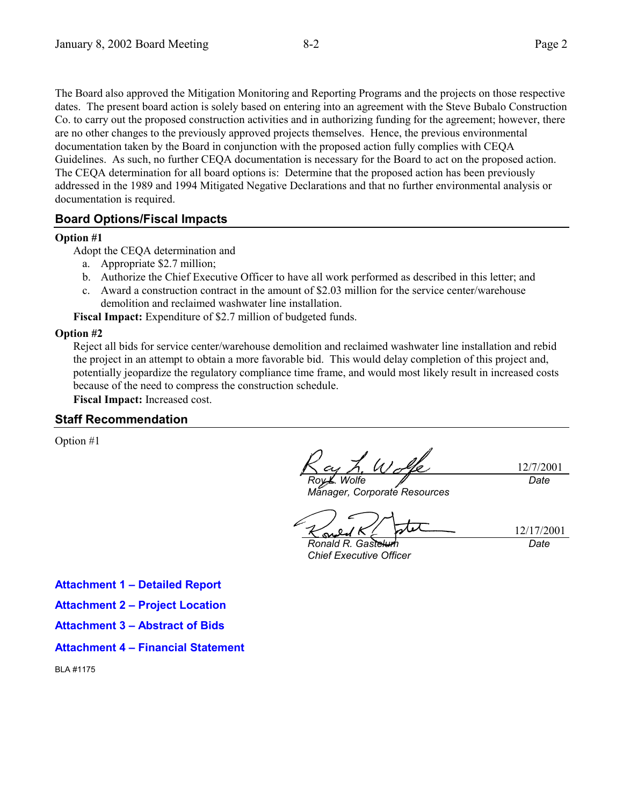The Board also approved the Mitigation Monitoring and Reporting Programs and the projects on those respective dates. The present board action is solely based on entering into an agreement with the Steve Bubalo Construction Co. to carry out the proposed construction activities and in authorizing funding for the agreement; however, there are no other changes to the previously approved projects themselves. Hence, the previous environmental documentation taken by the Board in conjunction with the proposed action fully complies with CEQA Guidelines. As such, no further CEQA documentation is necessary for the Board to act on the proposed action. The CEQA determination for all board options is: Determine that the proposed action has been previously addressed in the 1989 and 1994 Mitigated Negative Declarations and that no further environmental analysis or documentation is required.

#### **Board Options/Fiscal Impacts**

#### **Option #1**

Adopt the CEQA determination and

- a. Appropriate \$2.7 million;
- b. Authorize the Chief Executive Officer to have all work performed as described in this letter; and
- c. Award a construction contract in the amount of \$2.03 million for the service center/warehouse demolition and reclaimed washwater line installation.

**Fiscal Impact:** Expenditure of \$2.7 million of budgeted funds.

#### **Option #2**

Reject all bids for service center/warehouse demolition and reclaimed washwater line installation and rebid the project in an attempt to obtain a more favorable bid. This would delay completion of this project and, potentially jeopardize the regulatory compliance time frame, and would most likely result in increased costs because of the need to compress the construction schedule.

**Fiscal Impact:** Increased cost.

#### **Staff Recommendation**

Option #1

 $\frac{1}{2}$ 12/7/2001 *Roy L. Wolfe Date*

*Manager, Corporate Resources*

12/17/2001

**Ronald R. Gastell** *Chief Executive Officer*

*Date*

**Attachment 1 - Detailed Report** 

**Attachment 2 - Project Location** 

**Attachment 3 – Abstract of Bids** 

#### **Attachment 4 - Financial Statement**

BLA #1175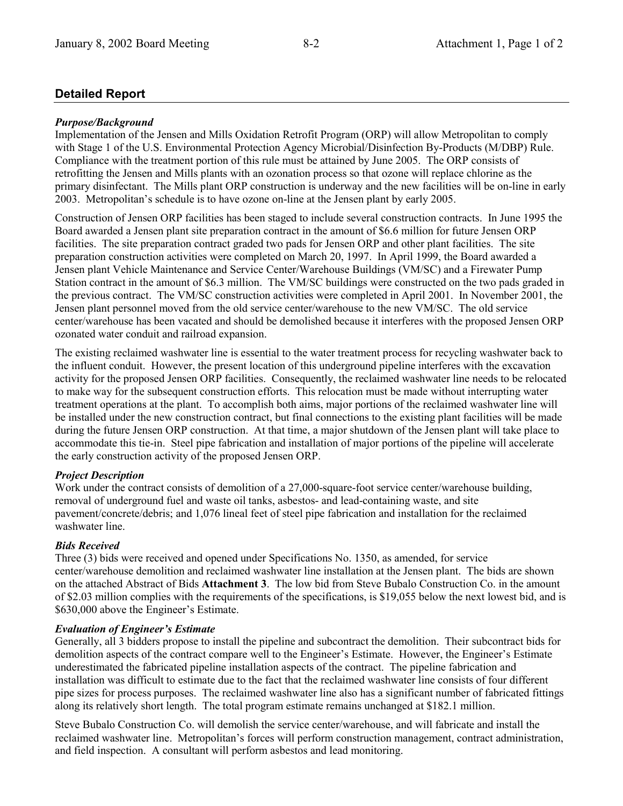## **Detailed Report**

## *Purpose/Background*

Implementation of the Jensen and Mills Oxidation Retrofit Program (ORP) will allow Metropolitan to comply with Stage 1 of the U.S. Environmental Protection Agency Microbial/Disinfection By-Products (M/DBP) Rule. Compliance with the treatment portion of this rule must be attained by June 2005. The ORP consists of retrofitting the Jensen and Mills plants with an ozonation process so that ozone will replace chlorine as the primary disinfectant. The Mills plant ORP construction is underway and the new facilities will be on-line in early 2003. Metropolitanís schedule is to have ozone on-line at the Jensen plant by early 2005.

Construction of Jensen ORP facilities has been staged to include several construction contracts. In June 1995 the Board awarded a Jensen plant site preparation contract in the amount of \$6.6 million for future Jensen ORP facilities. The site preparation contract graded two pads for Jensen ORP and other plant facilities. The site preparation construction activities were completed on March 20, 1997. In April 1999, the Board awarded a Jensen plant Vehicle Maintenance and Service Center/Warehouse Buildings (VM/SC) and a Firewater Pump Station contract in the amount of \$6.3 million. The VM/SC buildings were constructed on the two pads graded in the previous contract. The VM/SC construction activities were completed in April 2001. In November 2001, the Jensen plant personnel moved from the old service center/warehouse to the new VM/SC. The old service center/warehouse has been vacated and should be demolished because it interferes with the proposed Jensen ORP ozonated water conduit and railroad expansion.

The existing reclaimed washwater line is essential to the water treatment process for recycling washwater back to the influent conduit. However, the present location of this underground pipeline interferes with the excavation activity for the proposed Jensen ORP facilities. Consequently, the reclaimed washwater line needs to be relocated to make way for the subsequent construction efforts. This relocation must be made without interrupting water treatment operations at the plant. To accomplish both aims, major portions of the reclaimed washwater line will be installed under the new construction contract, but final connections to the existing plant facilities will be made during the future Jensen ORP construction. At that time, a major shutdown of the Jensen plant will take place to accommodate this tie-in. Steel pipe fabrication and installation of major portions of the pipeline will accelerate the early construction activity of the proposed Jensen ORP.

## *Project Description*

Work under the contract consists of demolition of a 27,000-square-foot service center/warehouse building, removal of underground fuel and waste oil tanks, asbestos- and lead-containing waste, and site pavement/concrete/debris; and 1,076 lineal feet of steel pipe fabrication and installation for the reclaimed washwater line.

## *Bids Received*

Three (3) bids were received and opened under Specifications No. 1350, as amended, for service center/warehouse demolition and reclaimed washwater line installation at the Jensen plant. The bids are shown on the attached Abstract of Bids **Attachment 3**. The low bid from Steve Bubalo Construction Co. in the amount of \$2.03 million complies with the requirements of the specifications, is \$19,055 below the next lowest bid, and is \$630,000 above the Engineer's Estimate.

## *Evaluation of Engineer's Estimate*

Generally, all 3 bidders propose to install the pipeline and subcontract the demolition. Their subcontract bids for demolition aspects of the contract compare well to the Engineer's Estimate. However, the Engineer's Estimate underestimated the fabricated pipeline installation aspects of the contract. The pipeline fabrication and installation was difficult to estimate due to the fact that the reclaimed washwater line consists of four different pipe sizes for process purposes. The reclaimed washwater line also has a significant number of fabricated fittings along its relatively short length. The total program estimate remains unchanged at \$182.1 million.

Steve Bubalo Construction Co. will demolish the service center/warehouse, and will fabricate and install the reclaimed washwater line. Metropolitan's forces will perform construction management, contract administration, and field inspection. A consultant will perform asbestos and lead monitoring.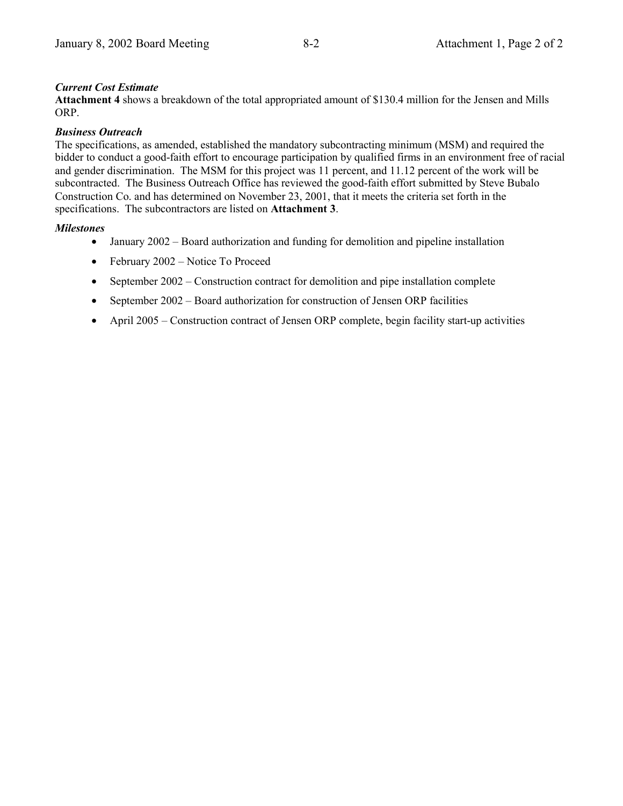## *Current Cost Estimate*

**Attachment 4** shows a breakdown of the total appropriated amount of \$130.4 million for the Jensen and Mills ORP.

#### *Business Outreach*

The specifications, as amended, established the mandatory subcontracting minimum (MSM) and required the bidder to conduct a good-faith effort to encourage participation by qualified firms in an environment free of racial and gender discrimination. The MSM for this project was 11 percent, and 11.12 percent of the work will be subcontracted. The Business Outreach Office has reviewed the good-faith effort submitted by Steve Bubalo Construction Co. and has determined on November 23, 2001, that it meets the criteria set forth in the specifications. The subcontractors are listed on **Attachment 3**.

## *Milestones*

- January  $2002 -$  Board authorization and funding for demolition and pipeline installation
- February  $2002$  Notice To Proceed
- September  $2002$  Construction contract for demolition and pipe installation complete
- September  $2002 Board$  authorization for construction of Jensen ORP facilities
- April  $2005$  Construction contract of Jensen ORP complete, begin facility start-up activities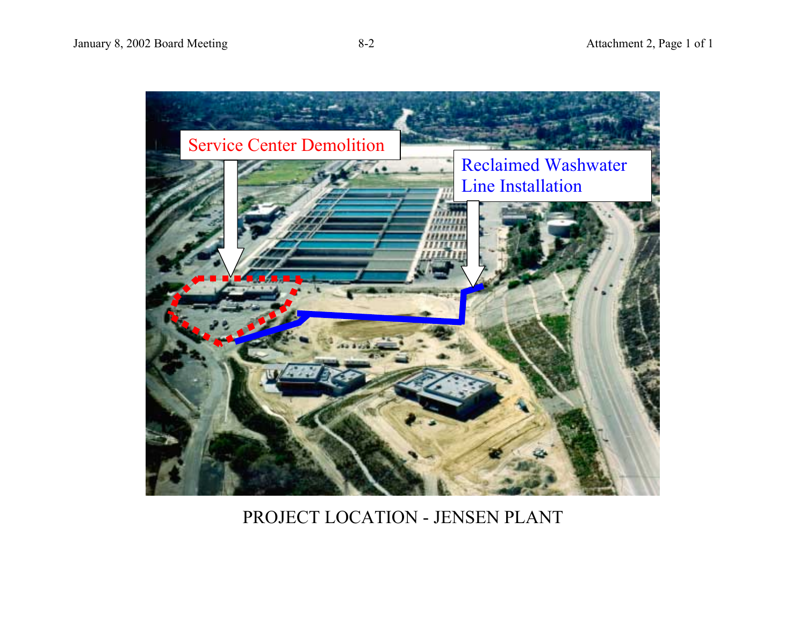

# PROJECT LOCATION - JENSEN PLANT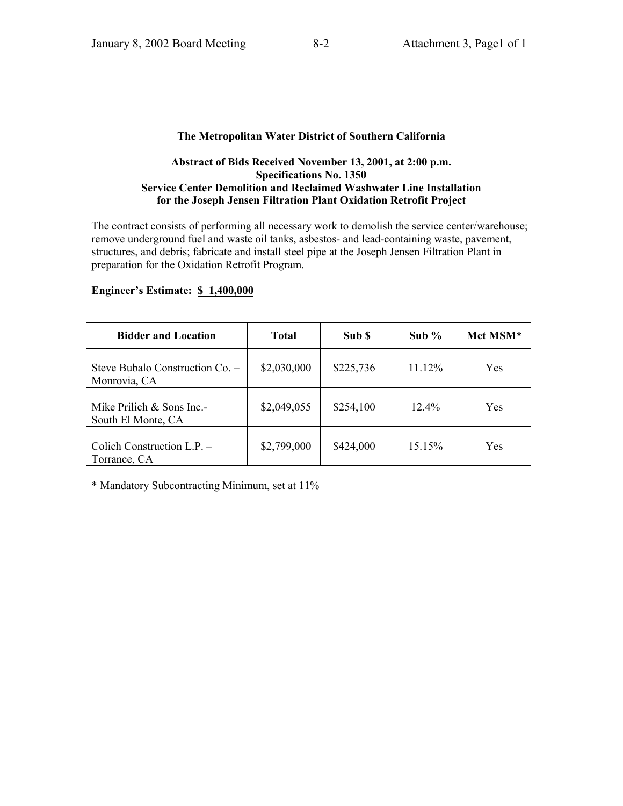#### **The Metropolitan Water District of Southern California**

#### **Abstract of Bids Received November 13, 2001, at 2:00 p.m. Specifications No. 1350 Service Center Demolition and Reclaimed Washwater Line Installation for the Joseph Jensen Filtration Plant Oxidation Retrofit Project**

The contract consists of performing all necessary work to demolish the service center/warehouse; remove underground fuel and waste oil tanks, asbestos- and lead-containing waste, pavement, structures, and debris; fabricate and install steel pipe at the Joseph Jensen Filtration Plant in preparation for the Oxidation Retrofit Program.

| <b>Bidder and Location</b>                        | <b>Total</b> | Sub \$    | Sub $%$  | Met MSM* |
|---------------------------------------------------|--------------|-----------|----------|----------|
| Steve Bubalo Construction Co. -<br>Monrovia, CA   | \$2,030,000  | \$225,736 | 11.12%   | Yes      |
| Mike Prilich $&$ Sons Inc.-<br>South El Monte, CA | \$2,049,055  | \$254,100 | $12.4\%$ | Yes      |
| Colich Construction L.P. -<br>Torrance, CA        | \$2,799,000  | \$424,000 | 15.15%   | Yes      |

#### **Engineer's Estimate: \$ 1,400,000**

\* Mandatory Subcontracting Minimum, set at 11%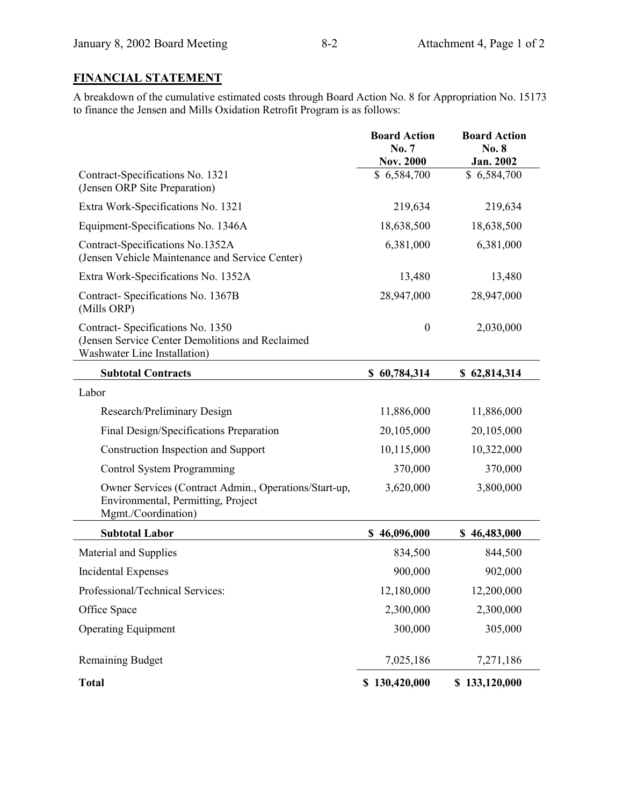# **FINANCIAL STATEMENT**

A breakdown of the cumulative estimated costs through Board Action No. 8 for Appropriation No. 15173 to finance the Jensen and Mills Oxidation Retrofit Program is as follows:

|                                                                                                                      | <b>Board Action</b><br>No. 7<br><b>Nov. 2000</b> | <b>Board Action</b><br>No. 8<br>Jan. 2002 |
|----------------------------------------------------------------------------------------------------------------------|--------------------------------------------------|-------------------------------------------|
| Contract-Specifications No. 1321<br>(Jensen ORP Site Preparation)                                                    | \$6,584,700                                      | \$6,584,700                               |
| Extra Work-Specifications No. 1321                                                                                   | 219,634                                          | 219,634                                   |
| Equipment-Specifications No. 1346A                                                                                   | 18,638,500                                       | 18,638,500                                |
| Contract-Specifications No.1352A<br>(Jensen Vehicle Maintenance and Service Center)                                  | 6,381,000                                        | 6,381,000                                 |
| Extra Work-Specifications No. 1352A                                                                                  | 13,480                                           | 13,480                                    |
| Contract-Specifications No. 1367B<br>(Mills ORP)                                                                     | 28,947,000                                       | 28,947,000                                |
| Contract-Specifications No. 1350<br>(Jensen Service Center Demolitions and Reclaimed<br>Washwater Line Installation) | $\boldsymbol{0}$                                 | 2,030,000                                 |
| <b>Subtotal Contracts</b>                                                                                            | \$60,784,314                                     | \$62,814,314                              |
| Labor                                                                                                                |                                                  |                                           |
| Research/Preliminary Design                                                                                          | 11,886,000                                       | 11,886,000                                |
| Final Design/Specifications Preparation                                                                              | 20,105,000                                       | 20,105,000                                |
| Construction Inspection and Support                                                                                  | 10,115,000                                       | 10,322,000                                |
| Control System Programming                                                                                           | 370,000                                          | 370,000                                   |
| Owner Services (Contract Admin., Operations/Start-up,<br>Environmental, Permitting, Project<br>Mgmt./Coordination)   | 3,620,000                                        | 3,800,000                                 |
| <b>Subtotal Labor</b>                                                                                                | \$46,096,000                                     | \$46,483,000                              |
| Material and Supplies                                                                                                | 834,500                                          | 844,500                                   |
| Incidental Expenses                                                                                                  | 900,000                                          | 902,000                                   |
| Professional/Technical Services:                                                                                     | 12,180,000                                       | 12,200,000                                |
| Office Space                                                                                                         | 2,300,000                                        | 2,300,000                                 |
| <b>Operating Equipment</b>                                                                                           | 300,000                                          | 305,000                                   |
| <b>Remaining Budget</b>                                                                                              | 7,025,186                                        | 7,271,186                                 |
| <b>Total</b>                                                                                                         | \$130,420,000                                    | \$133,120,000                             |